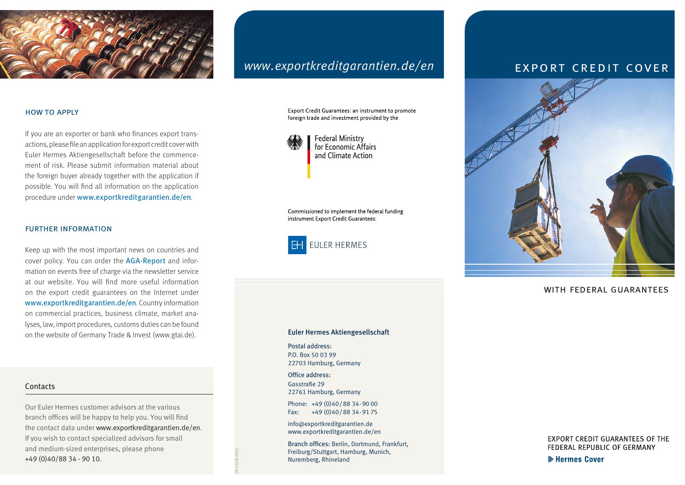

#### how to apply

If you are an exporter or bank who finances export transactions, please file an application for export credit cover with Euler Hermes Aktiengesellschaft before the commencement of risk. Please submit information material about the foreign buyer already together with the application if possible. You will find all information on the application procedure under [www.exportkreditgarantien.de/en](https://www.exportkreditgarantien.de/en).

#### further information

Keep up with the most important news on countries and cover policy. You can order the AGA-Report and information on events free of charge via the newsletter service at our website. You will find more useful information on the export credit guarantees on the Internet under [www.exportkreditgarantien.de/en](https://www.exportkreditgarantien.de/en). Country information on commercial practices, business climate, market analyses, law, import procedures, customs duties can be found on the website of Germany Trade & Invest (www.gtai.de).

#### **Contacts**

Our Euler Hermes customer advisors at the various branch offices will be happy to help you. You will find the contact data under [www.exportkreditgarantien.de/en](https://www.exportkreditgarantien.de/en). If you wish to contact specialized advisors for small and medium-sized enterprises, please phone +49 (0)40/88 34 - 90 10.

# *[www.exportkreditgarantien.de/en](https://www.exportkreditgarantien.de/en)*

Export Credit Guarantees: an instrument to promote foreign trade and investment provided by the



for Economic Affairs and Climate Action

Commissioned to implement the federal funding instrument Export Credit Guarantees:



#### Euler Hermes Aktiengesellschaft

Postal address: P.O. Box 50 03 99 22703 Hamburg, Germany

Office address: Gasstraße 29 22761 Hamburg, Germany

Phone: +49 (0)40/88 34-90 00 Fax: +49 (0)40/88 34-91 75

info@exportkreditgarantien.de [www.exportkreditgarantien.de/en](https://www.exportkreditgarantien.de/en)

Branch offices: Berlin, Dortmund, Frankfurt, [Freiburg/Stuttgart, Hamburg, Munich,](https://www.exportkreditgarantien.de/en/kontakt) Nuremberg, Rhineland

# export credit cover



#### with federal guarantees

**EXPORT CREDIT GUARANTEES OF THE** FEDERAL REPUBLIC OF GERMANY

**Exercise Cover** 

09 2322e 0522